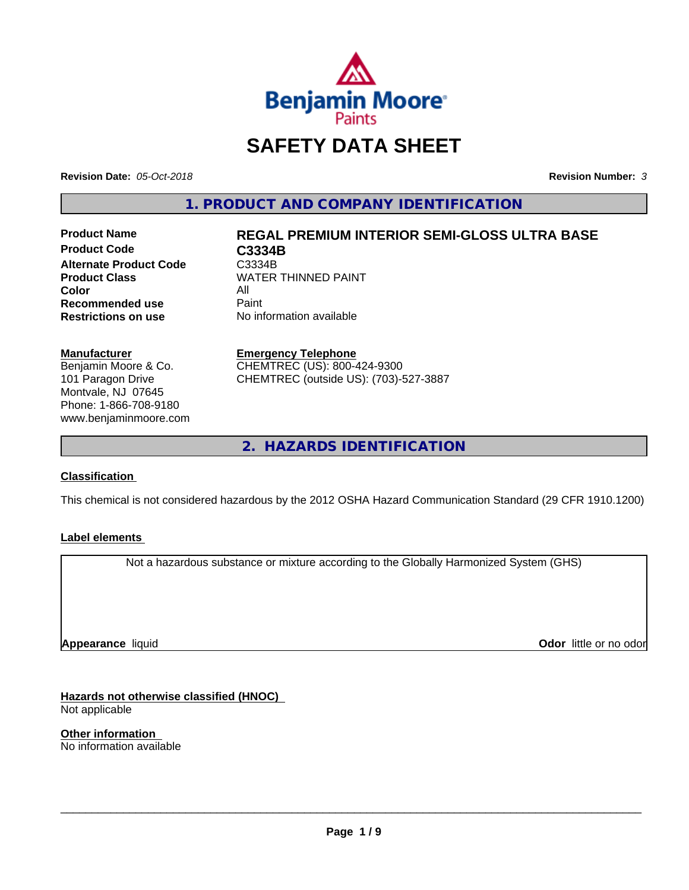

# **SAFETY DATA SHEET**

**Revision Date:** *05-Oct-2018* **Revision Number:** *3*

**1. PRODUCT AND COMPANY IDENTIFICATION**

**Product Code C3334B Alternate Product Code C3334B**<br>**Product Class** WATER **Color** All<br> **Recommended use** Paint **Recommended use**<br>Restrictions on use

# **Product Name REGAL PREMIUM INTERIOR SEMI-GLOSS ULTRA BASE**

**WATER THINNED PAINT No information available** 

#### **Manufacturer**

Benjamin Moore & Co. 101 Paragon Drive Montvale, NJ 07645 Phone: 1-866-708-9180 www.benjaminmoore.com

# **Emergency Telephone**

CHEMTREC (US): 800-424-9300 CHEMTREC (outside US): (703)-527-3887

**2. HAZARDS IDENTIFICATION**

#### **Classification**

This chemical is not considered hazardous by the 2012 OSHA Hazard Communication Standard (29 CFR 1910.1200)

#### **Label elements**

Not a hazardous substance or mixture according to the Globally Harmonized System (GHS)

**Appearance** liquid

**Odor** little or no odor

**Hazards not otherwise classified (HNOC)** Not applicable

**Other information** No information available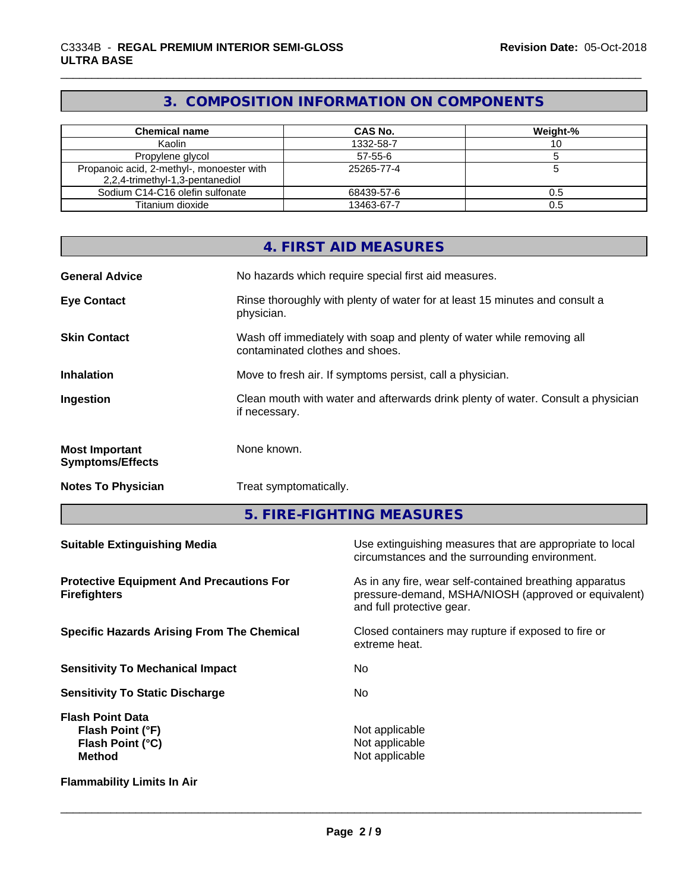# **3. COMPOSITION INFORMATION ON COMPONENTS**

| <b>Chemical name</b>                      | CAS No.    | Weight-% |
|-------------------------------------------|------------|----------|
| Kaolin                                    | 1332-58-7  |          |
| Propylene glycol                          | 57-55-6    |          |
| Propanoic acid, 2-methyl-, monoester with | 25265-77-4 |          |
| 2,2,4-trimethyl-1,3-pentanediol           |            |          |
| Sodium C14-C16 olefin sulfonate           | 68439-57-6 | 0.5      |
| Titanium dioxide                          | 13463-67-7 | 0.5      |

|                                                                                  |                                                                                                          | 4. FIRST AID MEASURES                                                                                                                        |  |  |
|----------------------------------------------------------------------------------|----------------------------------------------------------------------------------------------------------|----------------------------------------------------------------------------------------------------------------------------------------------|--|--|
| <b>General Advice</b>                                                            | No hazards which require special first aid measures.                                                     |                                                                                                                                              |  |  |
| <b>Eye Contact</b>                                                               | Rinse thoroughly with plenty of water for at least 15 minutes and consult a<br>physician.                |                                                                                                                                              |  |  |
| <b>Skin Contact</b>                                                              | Wash off immediately with soap and plenty of water while removing all<br>contaminated clothes and shoes. |                                                                                                                                              |  |  |
| <b>Inhalation</b>                                                                |                                                                                                          | Move to fresh air. If symptoms persist, call a physician.                                                                                    |  |  |
| Ingestion                                                                        | Clean mouth with water and afterwards drink plenty of water. Consult a physician<br>if necessary.        |                                                                                                                                              |  |  |
| <b>Most Important</b><br><b>Symptoms/Effects</b>                                 | None known.                                                                                              |                                                                                                                                              |  |  |
| <b>Notes To Physician</b>                                                        | Treat symptomatically.                                                                                   |                                                                                                                                              |  |  |
|                                                                                  |                                                                                                          | 5. FIRE-FIGHTING MEASURES                                                                                                                    |  |  |
| <b>Suitable Extinguishing Media</b>                                              |                                                                                                          | Use extinguishing measures that are appropriate to local<br>circumstances and the surrounding environment.                                   |  |  |
| <b>Protective Equipment And Precautions For</b><br><b>Firefighters</b>           |                                                                                                          | As in any fire, wear self-contained breathing apparatus<br>pressure-demand, MSHA/NIOSH (approved or equivalent)<br>and full protective gear. |  |  |
| <b>Specific Hazards Arising From The Chemical</b>                                |                                                                                                          | Closed containers may rupture if exposed to fire or<br>extreme heat.                                                                         |  |  |
| <b>Sensitivity To Mechanical Impact</b>                                          |                                                                                                          | No                                                                                                                                           |  |  |
| <b>Sensitivity To Static Discharge</b>                                           |                                                                                                          | No                                                                                                                                           |  |  |
| <b>Flash Point Data</b><br>Flash Point (°F)<br>Flash Point (°C)<br><b>Method</b> |                                                                                                          | Not applicable<br>Not applicable<br>Not applicable                                                                                           |  |  |

**Flammability Limits In Air**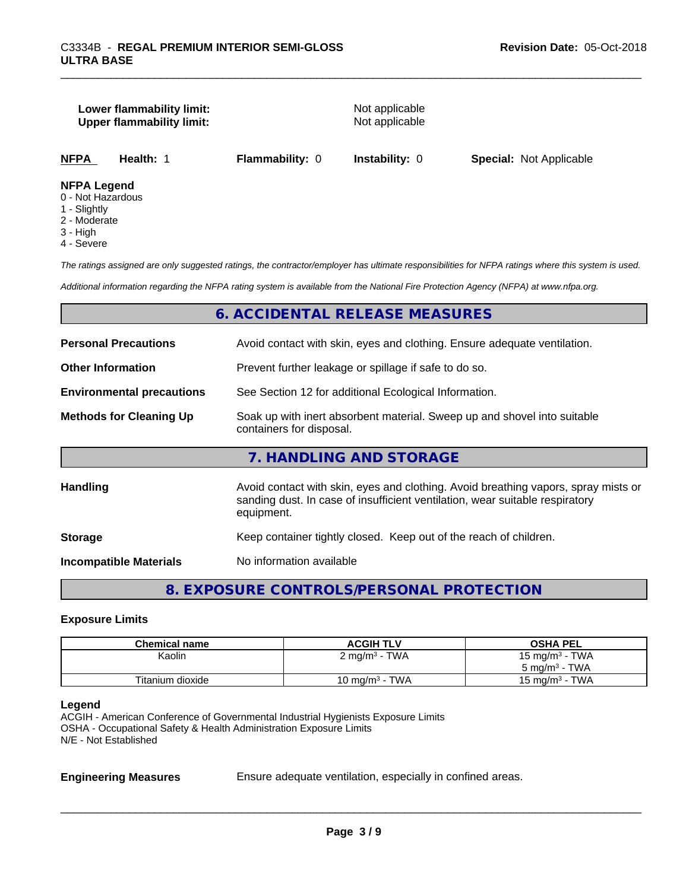#### **Lower flammability limit:** Not applicable **Upper flammability limit:** Not applicable

**NFPA Health:** 1 **Flammability:** 0 **Instability:** 0 **Special:** Not Applicable

#### **NFPA Legend**

- 0 Not Hazardous
- 1 Slightly
- 2 Moderate
- 3 High
- 4 Severe

*The ratings assigned are only suggested ratings, the contractor/employer has ultimate responsibilities for NFPA ratings where this system is used.*

*Additional information regarding the NFPA rating system is available from the National Fire Protection Agency (NFPA) at www.nfpa.org.*

#### **6. ACCIDENTAL RELEASE MEASURES**

| <b>Personal Precautions</b>      | Avoid contact with skin, eyes and clothing. Ensure adequate ventilation.                                                                                                         |  |  |
|----------------------------------|----------------------------------------------------------------------------------------------------------------------------------------------------------------------------------|--|--|
| <b>Other Information</b>         | Prevent further leakage or spillage if safe to do so.                                                                                                                            |  |  |
| <b>Environmental precautions</b> | See Section 12 for additional Ecological Information.                                                                                                                            |  |  |
| <b>Methods for Cleaning Up</b>   | Soak up with inert absorbent material. Sweep up and shovel into suitable<br>containers for disposal.                                                                             |  |  |
|                                  | 7. HANDLING AND STORAGE                                                                                                                                                          |  |  |
| <b>Handling</b>                  | Avoid contact with skin, eyes and clothing. Avoid breathing vapors, spray mists or<br>sanding dust. In case of insufficient ventilation, wear suitable respiratory<br>equipment. |  |  |
| <b>Storage</b>                   | Keep container tightly closed. Keep out of the reach of children.                                                                                                                |  |  |
| <b>Incompatible Materials</b>    | No information available                                                                                                                                                         |  |  |
|                                  |                                                                                                                                                                                  |  |  |

# **8. EXPOSURE CONTROLS/PERSONAL PROTECTION**

#### **Exposure Limits**

| <b>Chemical name</b> | <b>ACGIH TLV</b>            | <b>OSHA PEL</b>            |
|----------------------|-----------------------------|----------------------------|
| Kaolin               | $2$ mg/m <sup>3</sup> - TWA | 15 mg/m <sup>3</sup> - TWA |
|                      |                             | $5 \text{ ma/m}^3$ - TWA   |
| Titanium dioxide     | 10 mg/m $3$ - TWA           | $15 \text{ ma/m}^3$ - TWA  |

#### **Legend**

ACGIH - American Conference of Governmental Industrial Hygienists Exposure Limits OSHA - Occupational Safety & Health Administration Exposure Limits N/E - Not Established

**Engineering Measures** Ensure adequate ventilation, especially in confined areas.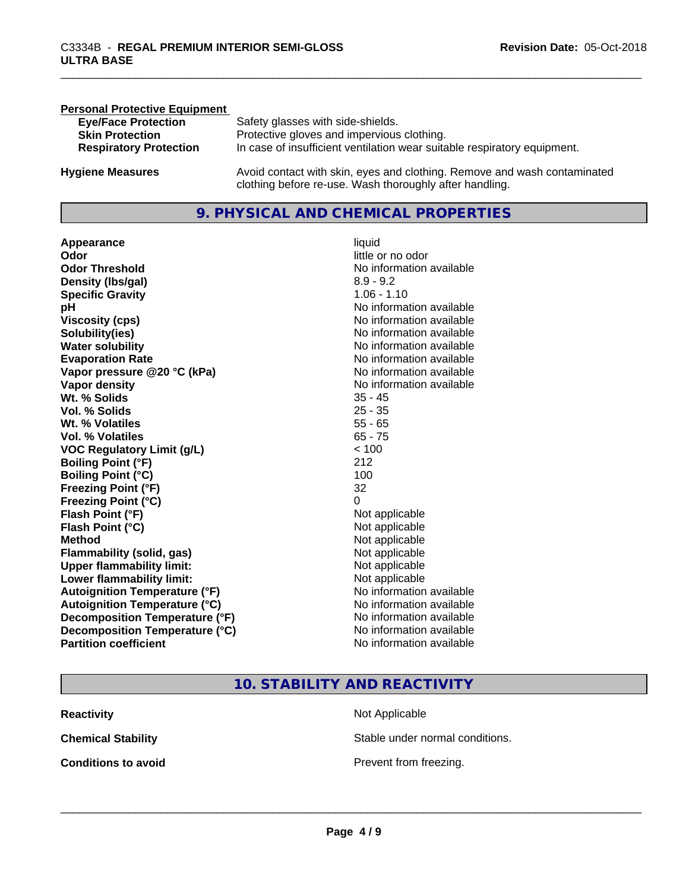| <b>Personal Protective Equipment</b> |                                                                                                                                     |
|--------------------------------------|-------------------------------------------------------------------------------------------------------------------------------------|
| <b>Eye/Face Protection</b>           | Safety glasses with side-shields.                                                                                                   |
| <b>Skin Protection</b>               | Protective gloves and impervious clothing.                                                                                          |
| <b>Respiratory Protection</b>        | In case of insufficient ventilation wear suitable respiratory equipment.                                                            |
| <b>Hygiene Measures</b>              | Avoid contact with skin, eyes and clothing. Remove and wash contaminated<br>clothing before re-use. Wash thoroughly after handling. |

# **9. PHYSICAL AND CHEMICAL PROPERTIES**

**Appearance** liquid **Odor** little or no odor **Odor Threshold** No information available **Density (lbs/gal)** 8.9 - 9.2 **Specific Gravity** 1.06 - 1.10 **pH pH**  $\blacksquare$ **Viscosity (cps)** <br> **Viscosity (cps)** No information available<br>
No information available<br>
No information available **Solubility(ies)**<br> **No information available**<br> **Water solubility**<br> **Water solubility Evaporation Rate No information available No information available Vapor pressure @20 °C (kPa)** No information available **Vapor density**<br> **Vapor density**<br> **With % Solids**<br>
With % Solids  $\frac{35 - 45}{35 - 45}$ **Wt. % Solids** 35 - 45 **Vol. % Solids Wt. % Volatiles** 55 - 65 **Vol. % Volatiles** 65 - 75 **VOC Regulatory Limit (g/L)** < 100 **Boiling Point (°F)** 212 **Boiling Point (°C)** 100 **Freezing Point (°F)** 32 **Freezing Point (°C)** 0 **Flash Point (°F)**<br> **Flash Point (°C)**<br> **Flash Point (°C)**<br> **C Flash Point (°C) Method** Not applicable not applicable not applicable not applicable not applicable not applicable not applicable not applicable not applicable not applicable not applicable not applicable not applicable not applicable not **Flammability (solid, gas)**<br> **Upper flammability limit:**<br>
Upper flammability limit:<br>  $\begin{array}{ccc}\n\bullet & \bullet & \bullet \\
\bullet & \bullet & \bullet\n\end{array}$ **Upper flammability limit: Lower flammability limit:** Not applicable **Autoignition Temperature (°F)** No information available **Autoignition Temperature (°C)** No information available **Decomposition Temperature (°F)** No information available<br> **Decomposition Temperature (°C)** No information available **Decomposition Temperature (°C)**<br>Partition coefficient

**No information available No information available** 

# **10. STABILITY AND REACTIVITY**

| <b>Reactivity</b>          | Not Applicable         |
|----------------------------|------------------------|
| <b>Chemical Stability</b>  | Stable under normal c  |
| <b>Conditions to avoid</b> | Prevent from freezing. |

Stable under normal conditions.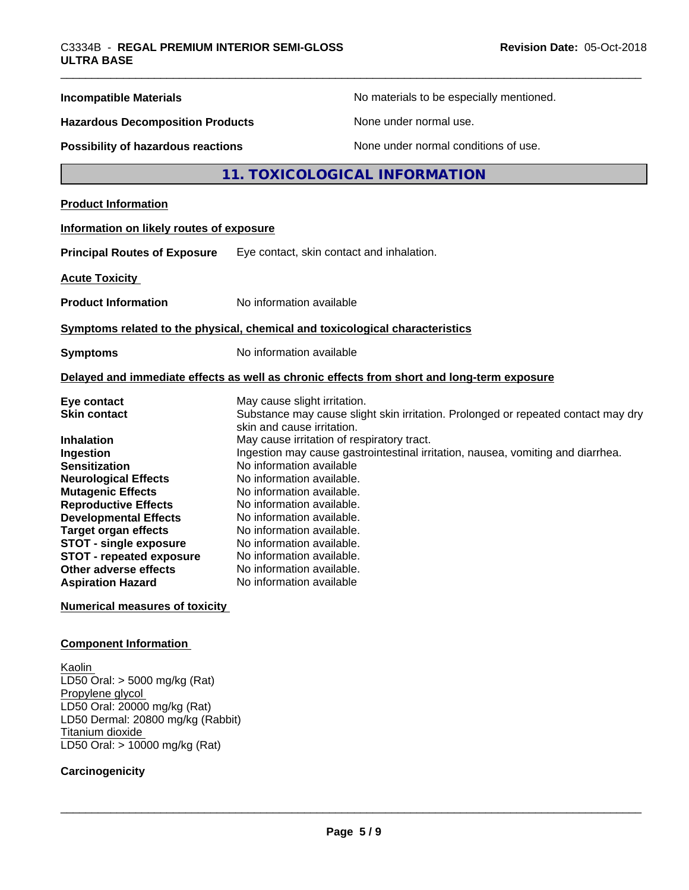| <b>Incompatible Materials</b>                                                                                                                                                                                                                                                                                                     | No materials to be especially mentioned.                                                                                                                                                                                                                                                                                                                                                                                      |  |  |
|-----------------------------------------------------------------------------------------------------------------------------------------------------------------------------------------------------------------------------------------------------------------------------------------------------------------------------------|-------------------------------------------------------------------------------------------------------------------------------------------------------------------------------------------------------------------------------------------------------------------------------------------------------------------------------------------------------------------------------------------------------------------------------|--|--|
| <b>Hazardous Decomposition Products</b>                                                                                                                                                                                                                                                                                           | None under normal use.                                                                                                                                                                                                                                                                                                                                                                                                        |  |  |
| <b>Possibility of hazardous reactions</b>                                                                                                                                                                                                                                                                                         | None under normal conditions of use.                                                                                                                                                                                                                                                                                                                                                                                          |  |  |
|                                                                                                                                                                                                                                                                                                                                   | 11. TOXICOLOGICAL INFORMATION                                                                                                                                                                                                                                                                                                                                                                                                 |  |  |
| <b>Product Information</b>                                                                                                                                                                                                                                                                                                        |                                                                                                                                                                                                                                                                                                                                                                                                                               |  |  |
| Information on likely routes of exposure                                                                                                                                                                                                                                                                                          |                                                                                                                                                                                                                                                                                                                                                                                                                               |  |  |
| <b>Principal Routes of Exposure</b>                                                                                                                                                                                                                                                                                               | Eye contact, skin contact and inhalation.                                                                                                                                                                                                                                                                                                                                                                                     |  |  |
| <b>Acute Toxicity</b>                                                                                                                                                                                                                                                                                                             |                                                                                                                                                                                                                                                                                                                                                                                                                               |  |  |
| <b>Product Information</b>                                                                                                                                                                                                                                                                                                        | No information available                                                                                                                                                                                                                                                                                                                                                                                                      |  |  |
|                                                                                                                                                                                                                                                                                                                                   | Symptoms related to the physical, chemical and toxicological characteristics                                                                                                                                                                                                                                                                                                                                                  |  |  |
| <b>Symptoms</b>                                                                                                                                                                                                                                                                                                                   | No information available                                                                                                                                                                                                                                                                                                                                                                                                      |  |  |
|                                                                                                                                                                                                                                                                                                                                   | Delayed and immediate effects as well as chronic effects from short and long-term exposure                                                                                                                                                                                                                                                                                                                                    |  |  |
| Eye contact<br><b>Skin contact</b>                                                                                                                                                                                                                                                                                                | May cause slight irritation.<br>Substance may cause slight skin irritation. Prolonged or repeated contact may dry<br>skin and cause irritation.                                                                                                                                                                                                                                                                               |  |  |
| Inhalation<br>Ingestion<br><b>Sensitization</b><br><b>Neurological Effects</b><br><b>Mutagenic Effects</b><br><b>Reproductive Effects</b><br><b>Developmental Effects</b><br><b>Target organ effects</b><br><b>STOT - single exposure</b><br><b>STOT - repeated exposure</b><br>Other adverse effects<br><b>Aspiration Hazard</b> | May cause irritation of respiratory tract.<br>Ingestion may cause gastrointestinal irritation, nausea, vomiting and diarrhea.<br>No information available<br>No information available.<br>No information available.<br>No information available.<br>No information available.<br>No information available.<br>No information available.<br>No information available.<br>No information available.<br>No information available |  |  |
| <b>Numerical measures of toxicity</b>                                                                                                                                                                                                                                                                                             |                                                                                                                                                                                                                                                                                                                                                                                                                               |  |  |
| Companent Information                                                                                                                                                                                                                                                                                                             |                                                                                                                                                                                                                                                                                                                                                                                                                               |  |  |

**Component Information**

**Kaolin** LD50 Oral: > 5000 mg/kg (Rat) Propylene glycol LD50 Oral: 20000 mg/kg (Rat) LD50 Dermal: 20800 mg/kg (Rabbit) Titanium dioxide LD50 Oral: > 10000 mg/kg (Rat)

## **Carcinogenicity**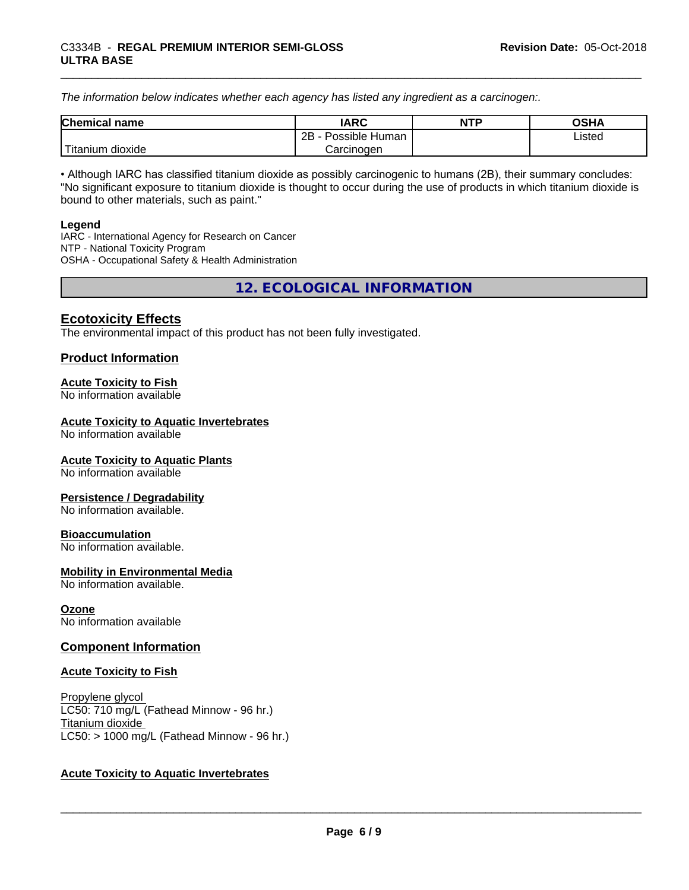*The information below indicateswhether each agency has listed any ingredient as a carcinogen:.*

| <b>Chemical</b><br>name             | <b>IARC</b>                    | <b>NTP</b> | ດເ⊔∧<br>שרט |
|-------------------------------------|--------------------------------|------------|-------------|
|                                     | . .<br>2B<br>Possible<br>Human |            | ∟isted      |
| $-1$<br>. dioxide<br><b>itanium</b> | Carcinogen                     |            |             |

• Although IARC has classified titanium dioxide as possibly carcinogenic to humans (2B), their summary concludes: "No significant exposure to titanium dioxide is thought to occur during the use of products in which titanium dioxide is bound to other materials, such as paint."

#### **Legend**

IARC - International Agency for Research on Cancer NTP - National Toxicity Program OSHA - Occupational Safety & Health Administration

**12. ECOLOGICAL INFORMATION**

# **Ecotoxicity Effects**

The environmental impact of this product has not been fully investigated.

## **Product Information**

#### **Acute Toxicity to Fish**

No information available

#### **Acute Toxicity to Aquatic Invertebrates**

No information available

#### **Acute Toxicity to Aquatic Plants**

No information available

#### **Persistence / Degradability**

No information available.

#### **Bioaccumulation**

No information available.

#### **Mobility in Environmental Media**

No information available.

#### **Ozone**

No information available

#### **Component Information**

#### **Acute Toxicity to Fish**

Propylene glycol LC50: 710 mg/L (Fathead Minnow - 96 hr.) Titanium dioxide  $LC50:$  > 1000 mg/L (Fathead Minnow - 96 hr.)

#### **Acute Toxicity to Aquatic Invertebrates**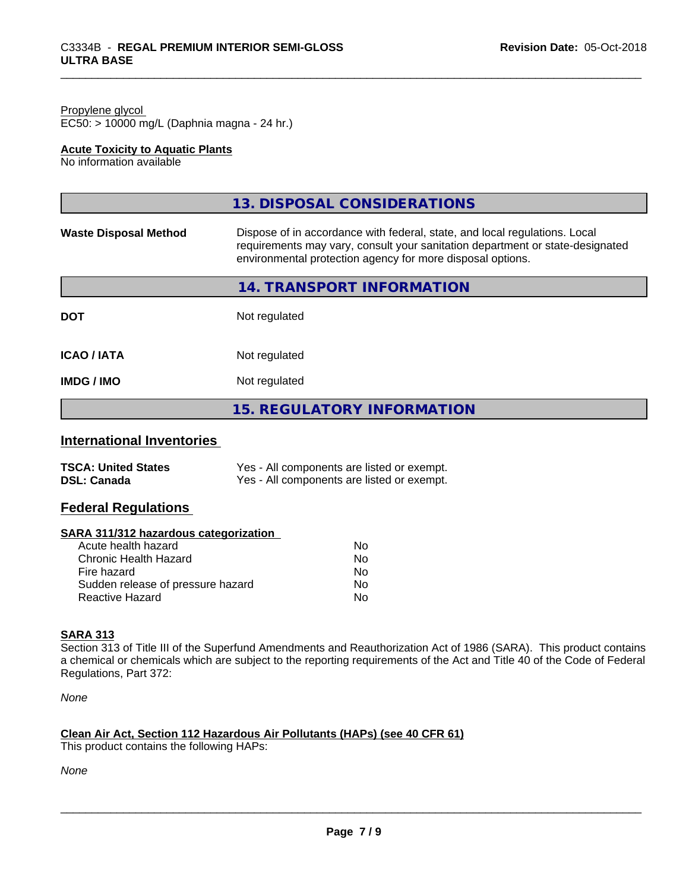#### Propylene glycol EC50: > 10000 mg/L (Daphnia magna - 24 hr.)

#### **Acute Toxicity to Aquatic Plants**

No information available

|                              | 13. DISPOSAL CONSIDERATIONS                                                                                                                                                                                               |
|------------------------------|---------------------------------------------------------------------------------------------------------------------------------------------------------------------------------------------------------------------------|
| <b>Waste Disposal Method</b> | Dispose of in accordance with federal, state, and local regulations. Local<br>requirements may vary, consult your sanitation department or state-designated<br>environmental protection agency for more disposal options. |
|                              | 14. TRANSPORT INFORMATION                                                                                                                                                                                                 |
| <b>DOT</b>                   | Not regulated                                                                                                                                                                                                             |
| <b>ICAO/IATA</b>             | Not regulated                                                                                                                                                                                                             |
| <b>IMDG / IMO</b>            | Not regulated                                                                                                                                                                                                             |
|                              | <b>15. REGULATORY INFORMATION</b>                                                                                                                                                                                         |

# **International Inventories**

| <b>TSCA: United States</b> | Yes - All components are listed or exempt. |
|----------------------------|--------------------------------------------|
| <b>DSL: Canada</b>         | Yes - All components are listed or exempt. |

# **Federal Regulations**

#### **SARA 311/312 hazardous categorization**

| Acute health hazard               | N٥ |
|-----------------------------------|----|
| Chronic Health Hazard             | Nο |
| Fire hazard                       | Nο |
| Sudden release of pressure hazard | Nο |
| Reactive Hazard                   | N٥ |

# **SARA 313**

Section 313 of Title III of the Superfund Amendments and Reauthorization Act of 1986 (SARA). This product contains a chemical or chemicals which are subject to the reporting requirements of the Act and Title 40 of the Code of Federal Regulations, Part 372:

*None*

# **Clean Air Act,Section 112 Hazardous Air Pollutants (HAPs) (see 40 CFR 61)**

This product contains the following HAPs:

*None*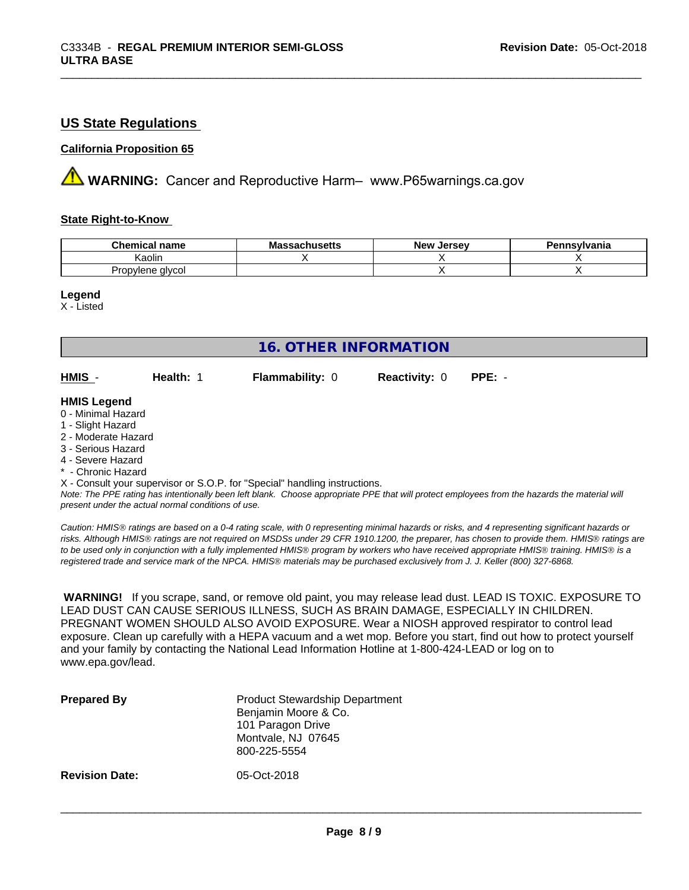# **US State Regulations**

#### **California Proposition 65**

**AVIMARNING:** Cancer and Reproductive Harm– www.P65warnings.ca.gov

#### **State Right-to-Know**

| <b>Chemical</b><br>'I name | aahucatte<br>ıvıa<br>saunuscus | <b>Jerse</b> y<br><b>Nev</b> | Pennsvlvania |
|----------------------------|--------------------------------|------------------------------|--------------|
| Kaolin                     |                                |                              |              |
| Propylene glycol           |                                |                              |              |

#### **Legend**

X - Listed

| <b>16. OTHER INFORMATION</b>                                                                                                                                                                                |           |                                                                            |                      |                                                                                                                                               |  |
|-------------------------------------------------------------------------------------------------------------------------------------------------------------------------------------------------------------|-----------|----------------------------------------------------------------------------|----------------------|-----------------------------------------------------------------------------------------------------------------------------------------------|--|
| HMIS -                                                                                                                                                                                                      | Health: 1 | <b>Flammability: 0</b>                                                     | <b>Reactivity: 0</b> | $PPE: -$                                                                                                                                      |  |
| <b>HMIS Legend</b><br>0 - Minimal Hazard<br>1 - Slight Hazard<br>2 - Moderate Hazard<br>3 - Serious Hazard<br>4 - Severe Hazard<br>* - Chronic Hazard<br>present under the actual normal conditions of use. |           | X - Consult your supervisor or S.O.P. for "Special" handling instructions. |                      | Note: The PPE rating has intentionally been left blank. Choose appropriate PPE that will protect employees from the hazards the material will |  |

*Caution: HMISÒ ratings are based on a 0-4 rating scale, with 0 representing minimal hazards or risks, and 4 representing significant hazards or risks. Although HMISÒ ratings are not required on MSDSs under 29 CFR 1910.1200, the preparer, has chosen to provide them. HMISÒ ratings are to be used only in conjunction with a fully implemented HMISÒ program by workers who have received appropriate HMISÒ training. HMISÒ is a registered trade and service mark of the NPCA. HMISÒ materials may be purchased exclusively from J. J. Keller (800) 327-6868.*

 **WARNING!** If you scrape, sand, or remove old paint, you may release lead dust. LEAD IS TOXIC. EXPOSURE TO LEAD DUST CAN CAUSE SERIOUS ILLNESS, SUCH AS BRAIN DAMAGE, ESPECIALLY IN CHILDREN. PREGNANT WOMEN SHOULD ALSO AVOID EXPOSURE.Wear a NIOSH approved respirator to control lead exposure. Clean up carefully with a HEPA vacuum and a wet mop. Before you start, find out how to protect yourself and your family by contacting the National Lead Information Hotline at 1-800-424-LEAD or log on to www.epa.gov/lead.

| <b>Prepared By</b>    | <b>Product Stewardship Department</b><br>Benjamin Moore & Co.<br>101 Paragon Drive<br>Montvale, NJ 07645<br>800-225-5554 |
|-----------------------|--------------------------------------------------------------------------------------------------------------------------|
| <b>Revision Date:</b> | 05-Oct-2018                                                                                                              |